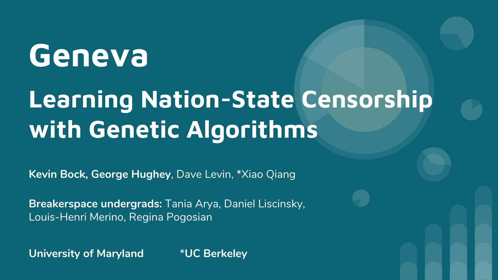# Geneva

# Learning Nation-State Censorship with Genetic Algorithms

Kevin Bock, George Hughey, Dave Levin, \*Xiao Qiang

Breakerspace undergrads: Tania Arya, Daniel Liscinsky, Louis-Henri Merino, Regina Pogosian

University of Maryland \*UC Berkeley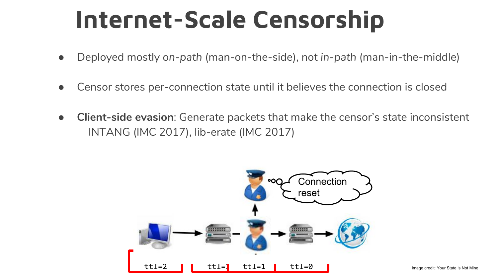# Internet-Scale Censorship

- Deployed mostly on-path (man-on-the-side), not in-path (man-in-the-middle)
- Censor stores per-connection state until it believes the connection is closed
- **Client-side evasion:** Generate packets that make the censor's state inconsistent INTANG (IMC 2017), lib-erate (IMC 2017)

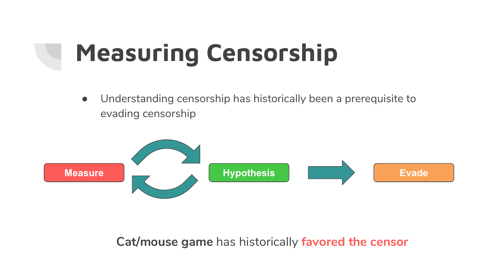# Measuring Censorship

● Understanding censorship has historically been a prerequisite to evading censorship



#### Cat/mouse game has historically favored the censor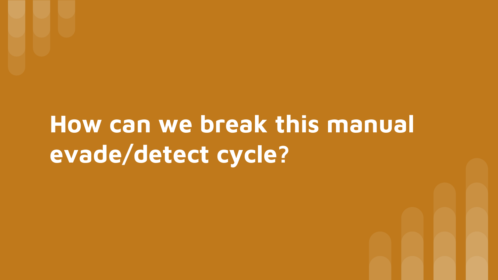# How can we break this manual evade/detect cycle?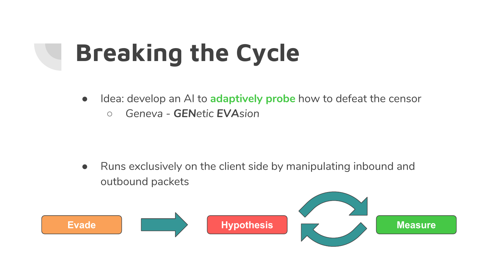# Breaking the Cycle

- Idea: develop an AI to adaptively probe how to defeat the censor
	- Geneva GENetic EVAsion

● Runs exclusively on the client side by manipulating inbound and outbound packets

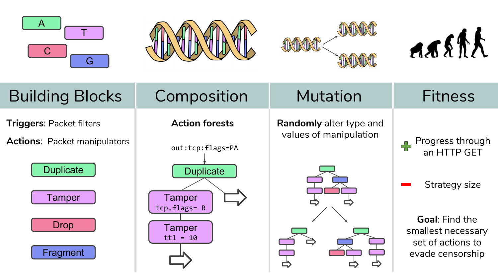







| <b>Building Blocks</b>                                                                     | Composition                                                   | <b>Mutation</b>                                          | <b>Fitness</b>                                                   |
|--------------------------------------------------------------------------------------------|---------------------------------------------------------------|----------------------------------------------------------|------------------------------------------------------------------|
| <b>Triggers: Packet filters</b><br><b>Actions: Packet manipulators</b><br><b>Duplicate</b> | <b>Action forests</b><br>out:tcp:flags=PA<br><b>Duplicate</b> | <b>Randomly alter type and</b><br>values of manipulation | Progress through<br>an HTTP GET                                  |
| Tamper                                                                                     | Tamper<br>tcp.flags= R                                        |                                                          | Strategy size                                                    |
| <b>Drop</b>                                                                                | Tamper<br>$ttl = 10$                                          |                                                          | <b>Goal: Find the</b><br>smallest necessary<br>set of actions to |
| Fragment                                                                                   |                                                               |                                                          | evade censorship                                                 |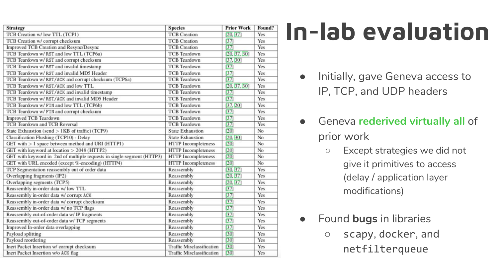| <b>Strategy</b>                                                        | <b>Species</b>                   | <b>Prior Work</b> | Found? |
|------------------------------------------------------------------------|----------------------------------|-------------------|--------|
| TCB Creation w/ low TTL (TCP1)                                         | <b>TCB</b> Creation              | [20, 37]          | Yes    |
| TCB Creation w/ corrupt checksum                                       | <b>TCB Creation</b>              | [37]              | Yes    |
| Improved TCB Creation and Resync/Desync                                | <b>TCB Creation</b>              | [37]              | Yes    |
| TCB Teardown w/RST and low TTL (TCP6a)                                 | <b>TCB</b> Teardown              | [20, 37, 30]      | Yes    |
| TCB Teardown w/RST and corrupt checksum                                | <b>TCB</b> Teardown              | [37, 30]          | Yes    |
| TCB Teardown w/RST and invalid timestamp                               | <b>TCB</b> Teardown              | [37]              | Yes    |
| TCB Teardown w/RST and invalid MD5 Header                              | <b>TCB</b> Teardown              | [37]              | Yes    |
| TCB Teardown w/RST/ACK and corrupt checksum (TCP6a)                    | <b>TCB</b> Teardown              | [37]              | Yes    |
| TCB Teardown w/RST/ACK and low TTL                                     | <b>TCB</b> Teardown              | [20, 37, 30]      | Yes    |
| TCB Teardown w/ RST/ACK and invalid timestamp                          | <b>TCB</b> Teardown              | [37]              | Yes    |
| TCB Teardown w/RST/ACK and invalid MD5 Header                          | <b>TCB</b> Teardown              | [37]              | Yes    |
| TCB Teardown w/ FIN and low TTL (TCP6b)                                | <b>TCB</b> Teardown              | [37, 20]          | Yes    |
| TCB Teardown w/ FIN and corrupt checksum                               | <b>TCB</b> Teardown              | [37]              | Yes    |
| <b>Improved TCB Teardown</b>                                           | <b>TCB</b> Teardown              | [37]              | Yes    |
| <b>TCB Teardown and TCB Reversal</b>                                   | <b>TCB</b> Teardown              | [37]              | Yes    |
| State Exhaustion (send > 1KB of traffic) (TCP9)                        | <b>State Exhaustion</b>          | [20]              | No     |
| Classification Flushing (TCP10) - Delay                                | <b>State Exhaustion</b>          | [20, 30]          | No     |
| GET with > 1 space between method and URI (HTTP1)                      | <b>HTTP</b> Incompleteness       | [20]              | No     |
| GET with keyword at location $>$ 2048 (HTTP2)                          | <b>HTTP</b> Incompleteness       | [20]              | No     |
| GET with keyword in 2nd of multiple requests in single segment (HTTP3) | <b>HTTP</b> Incompleteness       | [20]              | No     |
| GET with URL encoded (except %-encoding) (HTTP4)                       | <b>HTTP</b> Incompleteness       | [20]              | No     |
| TCP Segmentation reassembly out of order data                          | Reassembly                       | [30, 37]          | Yes    |
| Overlapping fragments (IP2)                                            | Reassembly                       | [20, 37]          | Yes    |
| Overlapping segments (TCP5)                                            | Reassembly                       | [20, 37]          | Yes    |
| Reassembly in-order data w/ low TTL                                    | Reassembly                       | [37]              | Yes    |
| Reassembly in-order data w/ corrupt ACK                                | Reassembly                       | [37]              | Yes    |
| Reassembly in-order data w/ corrupt checksum                           | Reassembly                       | [37]              | Yes    |
| Reassembly in-order data w/ no TCP flags                               | Reassembly                       | [37]              | Yes    |
| Reassembly out-of-order data w/ IP fragments                           | Reassembly                       | [37]              | Yes    |
| Reassembly out-of-order data w/TCP segments                            | Reassembly                       | [37]              | Yes    |
| Improved In-order data overlapping                                     | Reassembly                       | [37]              | Yes    |
| Payload splitting                                                      | Reassembly                       | [30]              | Yes    |
| Payload reordering                                                     | Reassembly                       | [30]              | Yes    |
| Inert Packet Insertion w/ corrupt checksum                             | <b>Traffic Misclassification</b> | [30]              | Yes    |
| Inert Packet Insertion w/o ACK flag                                    | <b>Traffic Misclassification</b> | [30]              | Yes    |

# In-lab evaluation

- Initially, gave Geneva access to IP, TCP, and UDP headers
- **•** Geneva rederived virtually all of prior work
	- Except strategies we did not give it primitives to access (delay / application layer modifications)
- Found bugs in libraries
	- scapy, docker, and netfilterqueue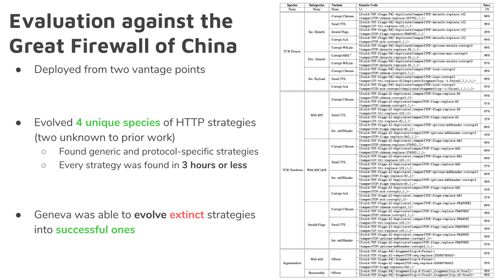## Evaluation against the Great Firewall of China

Deployed from two vantage points

- Evolved 4 unique species of HTTP strategies (two unknown to prior work)
	- Found generic and protocol-specific strategies
	- Every strategy was found in 3 hours or less

Geneva was able to **evolve extinct** strategies into successful ones

| <b>Species</b>                                                    | <b>Subspecies</b>    | Variant                                                                                                     | <b>Genetic Code</b>                                                                                                                                             | Succ. |
|-------------------------------------------------------------------|----------------------|-------------------------------------------------------------------------------------------------------------|-----------------------------------------------------------------------------------------------------------------------------------------------------------------|-------|
| None                                                              | None                 | None                                                                                                        | $\sqrt{}$                                                                                                                                                       | 3%    |
| Inc. Dataofs<br><b>TCB</b> Desync<br>Dec. Dataofs<br>Inv. Payload | Corrupt Chksum       | [field:TCP:flags:PA]-duplicate(tamper{TCP:dataofs:replace:10}<br>(tamper{TCP:chksum:replace:25776},),)-     | 98%                                                                                                                                                             |       |
|                                                                   |                      | Small TTL                                                                                                   | [field:TCP:flags:PA]-duplicate(tamper{TCP:dataofs:replace:10}<br>$(t\text{amper}\{IP:tt1:replace:10\},).$                                                       | 98%   |
|                                                                   | <b>Invalid Flags</b> | [field:TCP:flags:PA]-duplicate(tamper{TCP:dataofs:replace:10}<br>(tamper{TCP:flags:replace:FRAPUN},),)-     | 26%                                                                                                                                                             |       |
|                                                                   | Corrupt Ack          | [field:TCP:flags:PA]-duplicate(tamper{TCP:dataofs:replace:10}<br>$(tamper{TCP:ack:corrupt},).$              | 94%                                                                                                                                                             |       |
|                                                                   |                      | Corrupt WScale                                                                                              | [field:TCP:flags:PA]-duplicate(tamper{TCP:options-wscale:corrupt}<br>(tamper{TCP:dataofs:replace:8},),)-                                                        | 98%   |
|                                                                   |                      | Corrupt MSS <sup>3</sup>                                                                                    | [field:TCP:flags:PA]-duplicate(tamper{TCP:options-mss:corrupt}<br>(tamper{TCP:dataofs:replace:5},),)-                                                           | 98%   |
|                                                                   |                      | Corrupt WScale                                                                                              | [field:TCP:flags:PA]-duplicate(tamper{TCP:options-wscale:corrupt}<br>(tamper{TCP:dataofs:replace:5},),)-                                                        | 97%   |
|                                                                   |                      | Corrupt Chksum                                                                                              | [field:TCP:flags:PA]-duplicate(tamper{TCP:load:corrupt}<br>(tamper{TCP:chksum:corrupt},),)-                                                                     | 98%   |
|                                                                   |                      | Small TTL                                                                                                   | [field:TCP:flags:PA]-duplicate(tamper{TCP:load:corrupt}<br>(tamper{IP:ttl:replace:8}(duplicate(fragment{tcp:-1:False},),),),)-                                  | 98%   |
|                                                                   |                      | Corrupt Ack                                                                                                 | [field:TCP:flags:PA]-duplicate(tamper{TCP:load:corrupt}<br>(tamper{TCP:ack:corrupt}(duplicate(fragment{tcp:-1:False},),),),)-                                   | 93%   |
| With RST                                                          |                      | Corrupt Chksum                                                                                              | [field:TCP:flags:A]-duplicate(,tamper{TCP:flags:replace:R}<br>(tamper{TCP:chksum:corrupt},))-                                                                   | 95%   |
|                                                                   |                      |                                                                                                             | [field:TCP:flags:A]-duplicate(tamper{TCP:flags:replace:R}<br>(tamper{TCP:chksum:corrupt},),)-                                                                   | 51%   |
|                                                                   |                      | Small TTL                                                                                                   | [field:TCP:flags:A]-duplicate(,tamper{TCP:flags:replace:R}<br>$(tamper[IP:tt1:replace:10),))$ -                                                                 | 87%   |
|                                                                   |                      | [field:TCP:flags:A]-duplicate(tamper{TCP:flags:replace:R}<br>$(t\text{amper}\{IP:ttl:replace:9\},).$        | 52%                                                                                                                                                             |       |
|                                                                   | Inv. md5Header       | [field:TCP:flags:A]-duplicate(,tamper{TCP:options-md5header:corrupt}<br>$(tamper{TCP:flags:replace:R},))$ - | 86%                                                                                                                                                             |       |
|                                                                   |                      |                                                                                                             | [field:TCP:flags:A]-duplicate(tamper{TCP:options-md5header:corrupt}<br>(tamper{TCP:flags:replace:RA},),)-                                                       | 44%   |
|                                                                   |                      | Corrupt Chksum<br>Small TTL                                                                                 | [field:TCP:flags:A]-duplicate(,tamper{TCP:flags:replace:RA}<br>(tamper{TCP:chksum:replace:27925},))-                                                            | 90%   |
|                                                                   |                      |                                                                                                             | [field:TCP:flags:A]-duplicate(tamper{TCP:flags:replace:RA}<br>(tamper{TCP:chksum:replace:27925},),)-                                                            | 66%   |
|                                                                   |                      |                                                                                                             | [field:TCP:flags:A]-duplicate(,tamper{TCP:flags:replace:RA}<br>$(tamper[IP:tt1:replace:10),))$ -<br>[field:TCP:flags:A]-duplicate(tamper{TCP:flags:replace:RA}  | 94%   |
| <b>TCB</b> Teardown                                               | With RST/ACK         |                                                                                                             | $(t\text{amper}\{IP:ttl:replace:10\},)$ ,)-<br>[field:TCP:flags:A]-duplicate(,tamper{TCP:options-md5header:corrupt}                                             | 57%   |
|                                                                   |                      | Inv. md5Header<br>Corrupt Ack                                                                               | (tamper{TCP:flags:replace:R},))-<br>[field:TCP:flags:A]-duplicate(tamper{TCP:options-md5header:corrupt}                                                         | 94%   |
|                                                                   |                      |                                                                                                             | (tamper{TCP:flags:replace:R},),)-<br>[field:TCP:flags:A]-duplicate(tamper{TCP:flags:replace:RA}                                                                 | 48%   |
|                                                                   |                      |                                                                                                             | (tamper{TCP:ack:corrupt},),)-                                                                                                                                   | 43%   |
|                                                                   |                      |                                                                                                             | [field:TCP:flags:A]-duplicate(,tamper{TCP:flags:replace:RA}<br>(tamper{TCP:ack:corrupt},))-<br>[field:TCP:flags:A]-duplicate(,tamper{TCP:flags:replace:FRAPUEN} | 31%   |
|                                                                   |                      | Corrupt Chksum<br>Small TTL                                                                                 | (tamper{TCP:chksum:corrupt},))-<br>[field:TCP:flags:A]-duplicate(tamper{TCP:flags:replace:FRAPUEN}                                                              | 89%   |
| <b>Invalid Flags</b>                                              |                      |                                                                                                             | (tamper{TCP:chksum:corrupt},),)-<br>[field:TCP:flags:A]-duplicate(,tamper{TCP:flags:replace:FREACN}                                                             | 48%   |
|                                                                   |                      |                                                                                                             | $(tamper[IP:tt1:replace:10),))$ -<br>[field:TCP:flags:A]-duplicate(tamper{TCP:flags:replace:FRAPUEN}                                                            | 96%   |
|                                                                   |                      |                                                                                                             | $(tamper{IP:tt1:replace:10},)$ ,<br>[field:TCP:flags:A]-duplicate(,tamper{TCP:flags:replace:FRAPUN}                                                             | 56%   |
|                                                                   |                      | Inv. md5Header                                                                                              | (tamper{TCP:options-md5header:corrupt},))-<br>[field:TCP:flags:A]-duplicate(tamper{TCP:flags:replace:FRAPUEN}                                                   | 94%   |
|                                                                   |                      |                                                                                                             | (tamper{TCP:options-md5header:corrupt},),)-<br>[field:TCP:flags:PA]-fragment{tcp:8:False}-                                                                      | 55%   |
| With ACK<br>Segmentation<br>Reassembly                            |                      | Offsets                                                                                                     | [field:TCP:flags:A]-tamper{TCP:seq:replace:2258679050}-<br>[field:TCP:flags:PA]-fragment{tcp:8:False}-                                                          | 92%   |
|                                                                   |                      | [field:TCP:flags:A]-tamper{TCP:seq:replace:2258679050}<br>(tamper{TCP:flags:replace:PA},)-                  | 95%                                                                                                                                                             |       |
|                                                                   |                      | Offsets                                                                                                     | [field:TCP:flags:PA]-fragment{tcp:8:True}(,fragment{tcp:4:True})-                                                                                               | 98%   |
|                                                                   |                      |                                                                                                             | [field:TCP:flags:PA]-fragment{tcp:4:True}(,fragment{tcp:19:True})-                                                                                              | 96%   |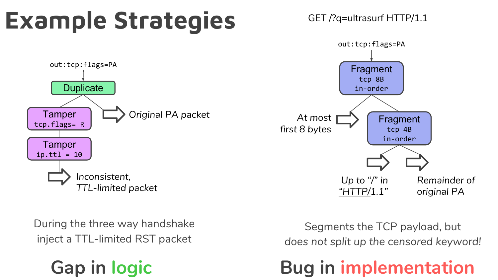# Example Strategies

GET /?q=ultrasurf HTTP/1.1



During the three way handshake inject a TTL-limited RST packet



Segments the TCP payload, but does not split up the censored keyword!

### Gap in logic **Bug in implementation**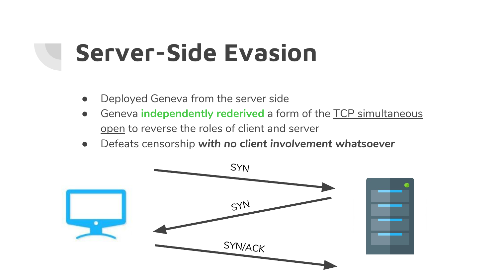# Server-Side Evasion

- Deployed Geneva from the server side
- **•** Geneva independently rederived a form of the TCP simultaneous open to reverse the roles of client and server
- Defeats censorship with no client involvement whatsoever

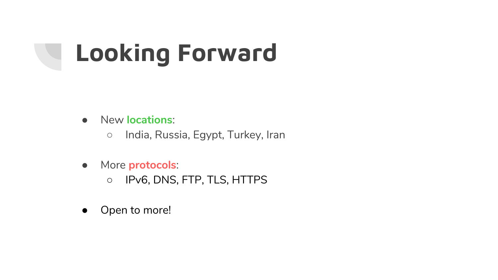# Looking Forward

- New locations:
	- India, Russia, Egypt, Turkey, Iran
- More protocols:
	- IPv6, DNS, FTP, TLS, HTTPS
- Open to more!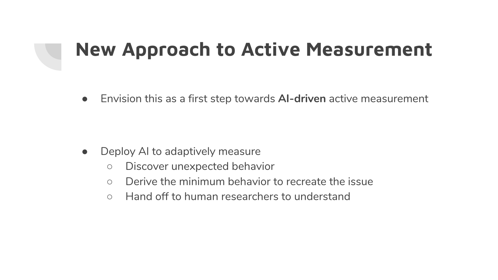#### New Approach to Active Measurement

● Envision this as a first step towards AI-driven active measurement

- Deploy AI to adaptively measure
	- Discover unexpected behavior
	- Derive the minimum behavior to recreate the issue
	- Hand off to human researchers to understand